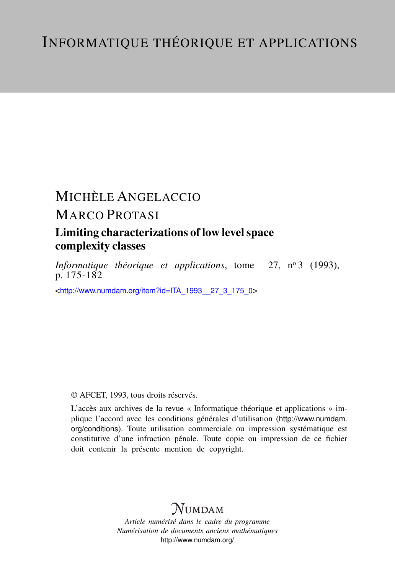# MICHÈLE ANGELACCIO

## MARCO PROTASI

## Limiting characterizations of low level space complexity classes

*Informatique théorique et applications*, tome 27, nº 3 (1993), p. 175-182

<[http://www.numdam.org/item?id=ITA\\_1993\\_\\_27\\_3\\_175\\_0](http://www.numdam.org/item?id=ITA_1993__27_3_175_0)>

### © AFCET, 1993, tous droits réservés.

L'accès aux archives de la revue « Informatique théorique et applications » implique l'accord avec les conditions générales d'utilisation ([http://www.numdam.](http://www.numdam.org/conditions) [org/conditions](http://www.numdam.org/conditions)). Toute utilisation commerciale ou impression systématique est constitutive d'une infraction pénale. Toute copie ou impression de ce fichier doit contenir la présente mention de copyright.

# $N$ UMDAM

*Article numérisé dans le cadre du programme Numérisation de documents anciens mathématiques* <http://www.numdam.org/>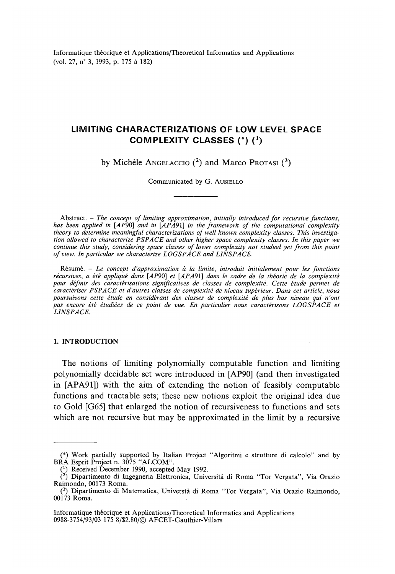Informatique théorique et Applications/Theoretical Informaties and Applications (vol. 27, n° 3, 1993, p. 175 à 182)

### **LIMITING CHARACTERIZATIONS OF LOW LEVEL SPACE COMPLEXITY CLASSES (\*) (\*)**

by Michèle ANGELACCIO  $(^2)$  and Marco Protasi  $(^3)$ 

Communicated by G. AUSIELLO

Abstract. — *The concept of limiting approximation, initially introduced for recursive functions,* has been applied in [AP90] and in [APA91] in the framework of the computational complexity *theory to détermine meaningful characterizations of well known complexity classes. This investigation allowed to characterize PSP ACE and other higher space complexity classes. In this paper we continue this study, considering space classes of lower complexity not studied yet from this point* of view. In particular we characterize LOGSPACE and LINSPACE.

Résumé. — *Le concept d'approximation à la limite, introduit initialement pour les fonctions récursives, a été appliqué dans [AP90] et [APA91] dans le cadre de la théorie de la complexité pour définir des caractérisations significatives de classes de complexité. Cette étude permet de caractériser PSP ACE et d'autres classes de complexité de niveau supérieur. Dans cet article, nous poursuivons cette étude en considérant des classes de complexité de plus bas niveau qui n'ont pas encore été étudiées de ce point de vue. En particulier nous caractérisons LOGSPACE et LIN SPACE.*

#### **1. INTRODUCTION**

The notions of limiting polynomially computable function and limiting polynomially decidable set were introduced in [AP90] (and then investigated in [APA91]) with the aim of extending the notion of feasibly computable functions and tractable sets; these new notions exploit the original idea due to Gold [G65] that enlarged the notion of recursiveness to functions and sets which are not recursive but may be approximated in the limit by a recursive

<sup>(\*)</sup> Work partially supported by Italian Project "Algoritmi e strutture di calcolo" and by BRA Esprit Project n. 3075 "ALCOM".

<sup>&</sup>lt;sup>(1)</sup> Received December 1990, accepted May 1992.

<sup>(</sup> 2 ) Dipartimento di Ingegneria Elettronica, Università di Roma 'Tor Vergata", Via Orazio Raimondo, 00173 Roma.

<sup>(</sup> 3 ) Dipartimento di Matematica, Universtà di Roma "Tor Vergata", Via Orazio Raimondo, 00173 Roma.

Informatique théorique et Applications/Theoretical Informaties and Applications 0988-3754/93/03 175 8/S2.80/© AFCET-Gauthier-Villars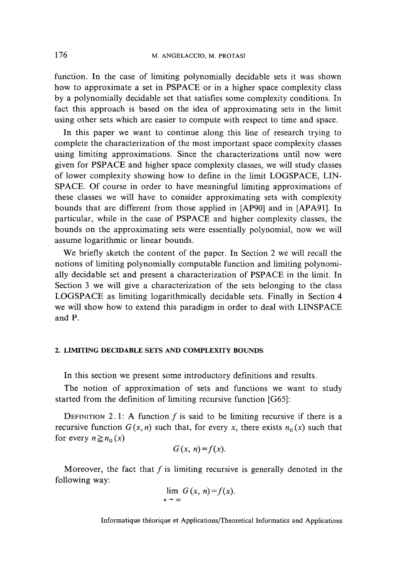function. In the case of limiting polynomially decidable sets it was shown how to approximate a set in PSPACE or in a higher space complexity class by a polynomially decidable set that satisfïes some complexity conditions. In fact this approach is based on the idea of approximating sets in the limit using other sets which are easier to compute with respect to time and space.

In this paper we want to continue along this line of research trying to complete the characterization of the most important space complexity classes using limiting approximations. Since the characterizations until now were given for PSPACE and higher space complexity classes, we will study classes of lower complexity showing how to defîne in the limit LOGSPACE, LIN-SPACE. Of course in order to have meaningful limiting approximations of these classes we will have to consider approximating sets with complexity bounds that are different from those applied in [AP90] and in [APA91]. In particular, while in the case of PSPACE and higher complexity classes, the bounds on the approximating sets were essentially polynomial, now we will assume logarithmic or linear bounds.

We briefly sketch the content of the paper. In Section 2 we will recall the notions of limiting polynomially computable function and limiting polynomially decidable set and present a characterization of PSPACE in the limit. In Section 3 we will give a characterization of the sets belonging to the class LOGSPACE as limiting logarithmically decidable sets. Finally in Section 4 we will show how to extend this paradigm in order to deal with LINSPACE and P.

#### **2. LIMITING DECIDABLE SETS AND COMPLEXITY BOUNDS**

In this section we present some introductory définitions and results.

The notion of approximation of sets and functions we want to study started from the définition of limiting recursive function [G65]:

DEFINITION 2.1: A function f is said to be limiting recursive if there is a recursive function  $G(x, n)$  such that, for every x, there exists  $n_0(x)$  such that for every  $n \geq n_0(x)$ 

$$
G(x, n)=f(x).
$$

Moreover, the fact that  $f$  is limiting recursive is generally denoted in the following way:

$$
\lim_{n \to \infty} G(x, n) = f(x).
$$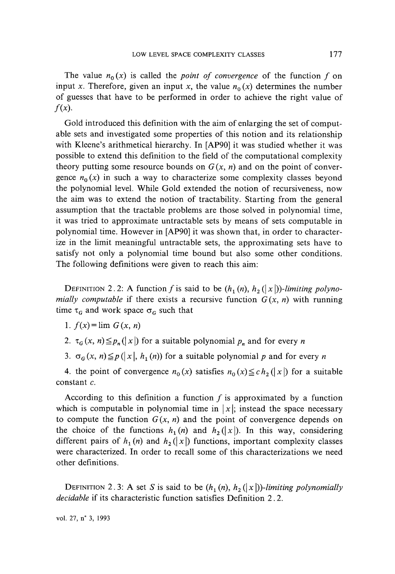The value  $n_0(x)$  is called the *point of convergence* of the function f on input x. Therefore, given an input x, the value  $n<sub>0</sub>(x)$  determines the number of guesses that have to be performed in order to achieve the right value of  $f(x)$ .

Gold introduced this définition with the aim of enlarging the set of computable sets and investigated some properties of this notion and its relationship with Kleene's arithmetical hierarchy. In [AP90] it was studied whether it was possible to extend this définition to the field of the computational complexity theory putting some resource bounds on  $G(x, n)$  and on the point of convergence  $n_0(x)$  in such a way to characterize some complexity classes beyond the polynomial level. While Gold extended the notion of recursiveness, now the aim was to extend the notion of tractability. Starting from the general assumption that the tractable problems are those solved in polynomial time, it was tried to approximate untractable sets by means of sets computable in polynomial time. However in [AP90] it was shown that, in order to characterize in the limit meaningful untractable sets, the approximating sets have to satisfy not only a polynomial time bound but also some other conditions. The following définitions were given to reach this aim:

DEFINITION 2.2: A function f is said to be  $(h_1(n), h_2(|x|))$ -limiting polyno*mially computable* if there exists a recursive function  $G(x, n)$  with running time  $\tau_G$  and work space  $\sigma_G$  such that

1.  $f(x) = \lim G(x, n)$ 

2.  $\tau_G(x, n) \leq p_n(|x|)$  for a suitable polynomial  $p_n$  and for every *n* 

3.  $\sigma_G(x, n) \leq p(|x|, h_1(n))$  for a suitable polynomial p and for every n

4. the point of convergence  $n_0(x)$  satisfies  $n_0(x) \leq c h_2(|x|)$  for a suitable constant *c.*

According to this definition a function  $f$  is approximated by a function which is computable in polynomial time in  $|x|$ ; instead the space necessary to compute the function  $G(x, n)$  and the point of convergence depends on the choice of the functions  $h_1(n)$  and  $h_2(|x|)$ . In this way, considering different pairs of  $h_1(n)$  and  $h_2(|x|)$  functions, important complexity classes were characterized. In order to recall some of this characterizations we need other définitions.

DEFINITION 2.3: A set *S* is said to be  $(h_1(n), h_2(|x|))$ -limiting polynomially *decidable* if its characteristic function satisfies Definition 2.2.

vol. 27, n° 3, 1993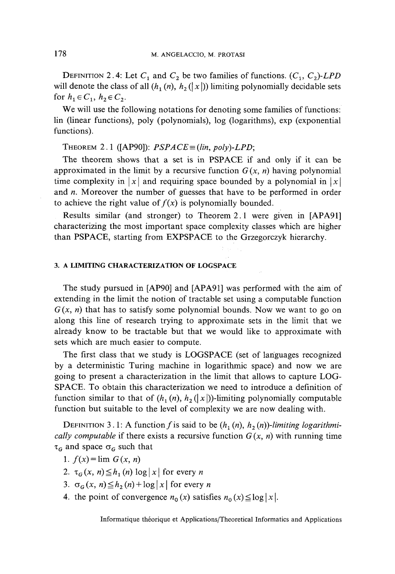DEFINITION 2.4: Let  $C_1$  and  $C_2$  be two families of functions.  $(C_1, C_2)$ -LPD will denote the class of all  $(h_1(n), h_2(|x|))$  limiting polynomially decidable sets for  $h_1 \in C_1$ ,  $h_2 \in C_2$ .

We will use the following notations for denoting some families of functions: lin (linear functions), poly (polynomials), log (logarithms), exp (exponential functions).

THEOREM 2.1 ([AP90]):  $PSPACE = (lin, poly)\text{-}LPD;$ 

The theorem shows that a set is in PSPACE if and only if it can be approximated in the limit by a recursive function  $G(x, n)$  having polynomial time complexity in  $|x|$  and requiring space bounded by a polynomial in  $|x|$ and *n.* Moreover the number of guesses that have to be performed in order to achieve the right value of  $f(x)$  is polynomially bounded.

Results similar (and stronger) to Theorem 2.1 were given in [APA91] characterizing the most important space complexity classes which are higher than PSPACE, starting from EXPSPACE to the Grzegorczyk hierarchy.

#### **3. A LIMITING CHARACTERIZATION OF LOGSPACE**

The study pursued in [AP90] and [APA91] was performed with the aim of extending in the limit the notion of tractable set using a computable function  $G(x, n)$  that has to satisfy some polynomial bounds. Now we want to go on along this line of research trying to approximate sets in the limit that we already know to be tractable but that we would like to approximate with sets which are much easier to compute.

The first class that we study is LOGSPACE (set of languages recognized by a deterministic Turing machine in logarithmic space) and now we are going to present a characterization in the limit that allows to capture LOG-SPACE. To obtain this characterization we need to introduce a definition of function similar to that of  $(h_1(n), h_2(|x|))$ -limiting polynomially computable function but suitable to the level of complexity we are now dealing with.

DEFINITION 3.1: A function f is said to be  $(h_1(n), h_2(n))$ -limiting logarithmi*cally computable* if there exists a recursive function  $G(x, n)$  with running time  $\tau_G$  and space  $\sigma_G$  such that

- 1.  $f(x) = \lim G(x, n)$
- 2.  $\tau_G(x, n) \leq h_1(n) \log |x|$  for every *n*
- 3.  $\sigma_G(x, n) \leq h_2(n) + \log|x|$  for every *n*
- 4. the point of convergence  $n_0(x)$  satisfies  $n_0(x) \le \log |x|$ .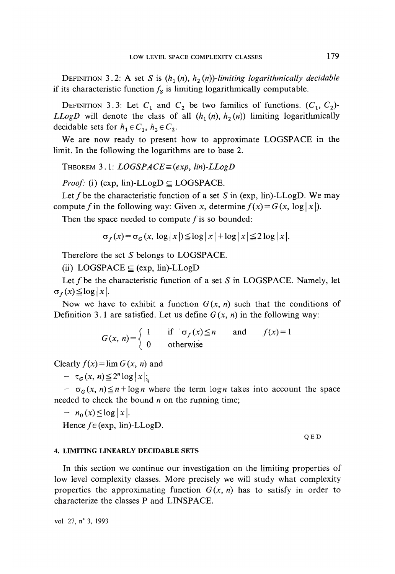DEFINITION 3.2: A set *S* is  $(h_1(n), h_2(n))$ -limiting logarithmically decidable if its characteristic function  $f_s$  is limiting logarithmically computable.

DEFINITION 3.3: Let  $C_1$  and  $C_2$  be two families of functions.  $(C_1, C_2)$ -*LLogD* will denote the class of all  $(h_1(n), h_2(n))$  limiting logarithmically decidable sets for  $h_1 \in C_1$ ,  $h_2 \in C_2$ .

We are now ready to present how to approximate LOGSPACE in the limit. In the following the logarithms are to base 2.

THEOREM 3.1: *LOGSPACE=(exp, Hn)-LLogD*

*Proof:* (i) (exp, lin)- $LLogD \subseteq LOGSPACE$ .

Let f be the characteristic function of a set S in (exp. lin)-LLogD. We may compute f in the following way: Given x, determine  $f(x) = G(x, \log|x|)$ .

Then the space needed to compute  $f$  is so bounded:

$$
\sigma_f(x) = \sigma_G(x, \log|x|) \le \log|x| + \log|x| \le 2\log|x|.
$$

Therefore the set *S* belongs to LOGSPACE.

(ii)  $LOGSPACE \subseteq (exp, lin)-LLogD$ 

Let f be the characteristic function of a set S in LOGSPACE. Namely, let  $\sigma_f(x) \leq \log |x|$ .

Now we have to exhibit a function  $G(x, n)$  such that the conditions of Definition 3.1 are satisfied. Let us define  $G(x, n)$  in the following way:

$$
G(x, n) = \begin{cases} 1 & \text{if } \sigma_f(x) \le n \\ 0 & \text{otherwise} \end{cases} \quad \text{and} \quad f(x) = 1
$$

Clearly  $f(x) = \lim G(x, n)$  and

 $- \tau_G(x,n) \leq 2^n \log |x|$ ;

 $-\sigma_G(x, n) \leq n + \log n$  where the term  $\log n$  takes into account the space needed to check the bound *n* on the running time;

$$
- n_0(x) \leq \log |x|.
$$

Hence  $f \in (exp, lin)$ -LLogD.

Q ED

#### **4. LIMITÏNG LINEARLY DECIDABLE SETS**

In this section we continue our investigation on the limiting properties of low level complexity classes. More precisely we will study what complexity properties the approximating function  $G(x, n)$  has to satisfy in order to characterize the classes P and LINSPACE.

vol 27, n° *3,* 1993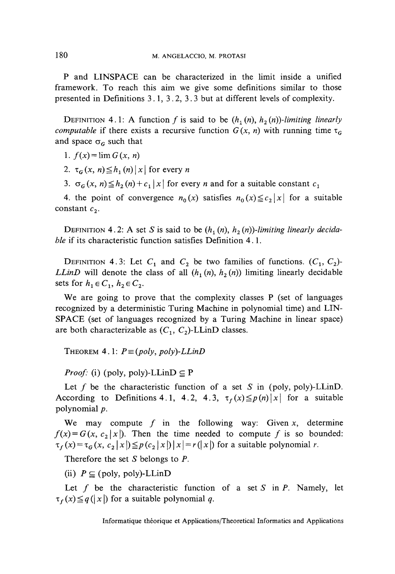P and LINSPACE can be characterized in the limit inside a unified framework. To reach this aim we give some définitions similar to those presented in Définitions 3.1, 3.2, 3.3 but at different levels of complexity.

DEFINITION 4.1: A function f is said to be  $(h_1(n), h_2(n))$ -limiting linearly *computable* if there exists a recursive function  $G(x, n)$  with running time  $\tau_G$ and space  $\sigma_G$  such that

1.  $f(x) = \lim G(x, n)$ 

2.  $\tau_G(x, n) \leq h_1(n)|x|$  for every *n* 

3.  $\sigma_G$ (x, n)  $\leq h_2(n) + c_1 |x|$  for every *n* and for a suitable constant  $c_1$ 

4. the point of convergence  $n_0(x)$  satisfies  $n_0(x) \leq c_2 |x|$  for a suitable constant  $c_2$ .

DEFINITION 4.2: A set *S* is said to be  $(h_1(n), h_2(n))$ -limiting linearly decida*ble* if its characteristic function satisfies Définition 4.1.

DEFINITION 4.3: Let  $C_1$  and  $C_2$  be two families of functions.  $(C_1, C_2)$ -*LLinD* will denote the class of all  $(h_1(n), h_2(n))$  limiting linearly decidable sets for  $h_1 \in C_1$ ,  $h_2 \in C_2$ .

We are going to prove that the complexity classes P (set of languages recognized by a deterministic Turing Machine in polynomial time) and LIN-SPACE (set of languages recognized by a Turing Machine in linear space) are both characterizable as  $(C_1, C_2)$ -LLinD classes.

THEOREM 4.1:  $P \equiv (poly, poly)$ -LLinD

*Proof:* (i) (poly, poly)-LLin $D \subseteq P$ 

Let  $f$  be the characteristic function of a set  $S$  in (poly, poly)-LLinD. According to Definitions 4.1, 4.2, 4.3,  $\tau_f(x) \leq p(n)|x|$  for a suitable polynomial *p,*

We may compute  $f$  in the following way: Given  $x$ , determine  $f(x)=G(x, c_2|x|)$ . Then the time needed to compute f is so bounded:  $\tau_f(x) = \tau_G(x, c_2 | x |) \leq p(c_2 | x |) | x | = r(| x |)$  for a suitable polynomial *r*.

Therefore the set *S* belongs to *P.*

(ii)  $P \subseteq$  (poly, poly)-LLinD

Let  $f$  be the characteristic function of a set  $S$  in  $P$ . Namely, let  $\tau_f(x) \leq q(|x|)$  for a suitable polynomial q.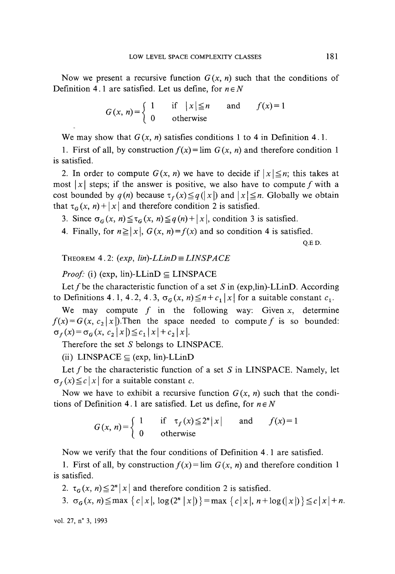Now we present a recursive function  $G(x, n)$  such that the conditions of Definition 4.1 are satisfied. Let us define, for  $n \in N$ 

$$
G(x, n) = \begin{cases} 1 & \text{if } |x| \le n \\ 0 & \text{otherwise} \end{cases} \quad \text{and} \quad f(x) = 1
$$

We may show that  $G(x, n)$  satisfies conditions 1 to 4 in Definition 4.1.

1. First of all, by construction  $f(x) = \lim_{x \to a} G(x, n)$  and therefore condition 1 is satisfied.

2. In order to compute  $G(x, n)$  we have to decide if  $|x| \leq n$ ; this takes at most |x| steps; if the answer is positive, we also have to compute f with a cost bounded by  $q(n)$  because  $\tau_f(x) \leq q(|x|)$  and  $|x| \leq n$ . Globally we obtain that  $\tau_G(x, n) + |x|$  and therefore condition 2 is satisfied.

3. Since  $\sigma_G(x, n) \leq \tau_G(x, n) \leq q(n)+|x|$ , condition 3 is satisfied.

4. Finally, for  $n \ge |x|$ ,  $G(x, n)=f(x)$  and so condition 4 is satisfied.

Q.ED.

THEOREM 4.2:  $(exp, lin)-LLinD \equiv LINSPACE$ 

*Proof:* (i) (exp,  $\lim$ )-LLinD  $\subseteq$  LINSPACE

Let  $f$  be the characteristic function of a set  $S$  in (exp,lin)-LLinD. According to Definitions 4.1, 4.2, 4.3,  $\sigma_G(x, n) \leq n + c_1 |x|$  for a suitable constant  $c_1$ .

We may compute  $f$  in the following way: Given  $x$ , determine  $f(x) = G(x, c_2|x|)$ . Then the space needed to compute f is so bounded:  $\sigma_f(x) = \sigma_G(x, c_2 |x|) \leq c_1 |x| + c_2 |x|.$ 

Therefore the set *S* belongs to LINSPACE.

(ii) LINSPACE  $\subseteq$  (exp, lin)-LLinD

Let f be the characteristic function of a set S in LINSPACE. Namely, let  $\sigma_f(x) \leq c |x|$  for a suitable constant *c*.

Now we have to exhibit a recursive function  $G(x, n)$  such that the conditions of Definition 4.1 are satisfied. Let us define, for  $n \in N$ 

$$
G(x, n) = \begin{cases} 1 & \text{if } \tau_f(x) \le 2^n |x| \text{ and } f(x) = 1 \\ 0 & \text{otherwise} \end{cases}
$$

Now we verify that the four conditions of Définition 4.1 are satisfied.

1. First of all, by construction  $f(x) = \lim G(x, n)$  and therefore condition 1 is satisfied.

2.  $\tau_G(x, n) \leq 2^n |x|$  and therefore condition 2 is satisfied.

3.  $\sigma_G(x, n) \leq \max \{c\,x\}, \log(2^n |x|) \} = \max \{c\,x\}, n + \log(|x|) \leq c\,|x| + n.$